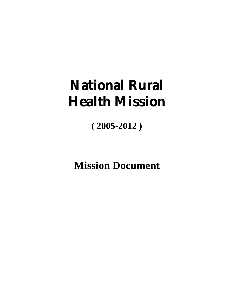# **National Rural Health Mission**

**( 2005-2012 )**

**Mission Document**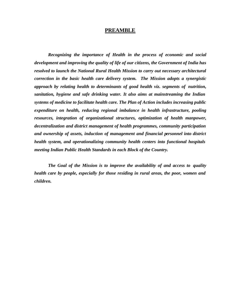#### **PREAMBLE**

*Recognizing the importance of Health in the process of economic and social development and improving the quality of life of our citizens, the Government of India has resolved to launch the National Rural Health Mission to carry out necessary architectural correction in the basic health care delivery system. The Mission adopts a synergistic approach by relating health to determinants of good health viz. segments of nutrition, sanitation, hygiene and safe drinking water. It also aims at mainstreaming the Indian systems of medicine to facilitate health care. The Plan of Action includes increasing public expenditure on health, reducing regional imbalance in health infrastructure, pooling resources, integration of organizational structures, optimization of health manpower, decentralization and district management of health programmes, community participation and ownership of assets, induction of management and financial personnel into district health system, and operationalizing community health centers into functional hospitals meeting Indian Public Health Standards in each Block of the Country.* 

*The Goal of the Mission is to improve the availability of and access to quality health care by people, especially for those residing in rural areas, the poor, women and children.*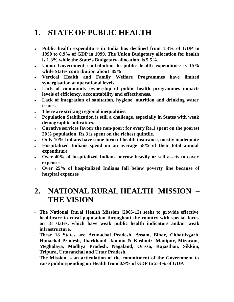# **1. STATE OF PUBLIC HEALTH**

- <sup>l</sup> **Public health expenditure in India has declined from 1.3% of GDP in 1990 to 0.9% of GDP in 1999. The Union Budgetary allocation for health is 1.3% while the State's Budgetary allocation is 5.5%.**
- <sup>l</sup> **Union Government contribution to public health expenditure is 15% while States contribution about 85%**
- **.** Vertical Health and Family Welfare Programmes have limited **synergisation at operational levels.**
- <sup>l</sup> **Lack of community ownership of public health programmes impacts levels of efficiency, accountability and effectiveness.**
- **Lack of integration of sanitation, hygiene, nutrition and drinking water issues.**
- <sup>l</sup> **There are striking regional inequalities.**
- **Population Stabilization is still a challenge, especially in States with weak demographic indicators.**
- **.** Curative services favour the non-poor: for every Re.1 spent on the poorest **20% population, Rs.3 is spent on the richest quintile.**
- <sup>l</sup> **Only 10% Indians have some form of health insurance, mostly inadequate**
- <sup>l</sup> **Hospitalized Indians spend on an average 58% of their total annual expenditure**
- <sup>l</sup> **Over 40% of hospitalized Indians borrow heavily or sell assets to cover expenses**
- <sup>l</sup> **Over 25% of hospitalized Indians fall below poverty line because of hospital expenses**

### **2. NATIONAL RURAL HEALTH MISSION – THE VISION**

- **The National Rural Health Mission (2005-12) seeks to provide effective healthcare to rural population throughout the country with special focus on 18 states, which have weak public health indicators and/or weak infrastructure.**
- **These 18 States are Arunachal Pradesh, Assam, Bihar, Chhattisgarh, Himachal Pradesh, Jharkhand, Jammu & Kashmir, Manipur, Mizoram, Meghalaya, Madhya Pradesh, Nagaland, Orissa, Rajasthan, Sikkim, Tripura, Uttaranchal and Uttar Pradesh.**
- **The Mission is an articulation of the commitment of the Government to raise public spending on Health from 0.9% of GDP to 2-3% of GDP.**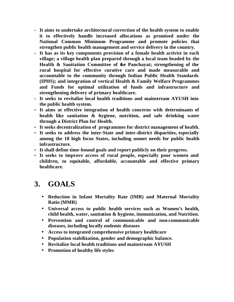- **It aims to undertake architectural correction of the health system to enable it to effectively handle increased allocations as promised under the National Common Minimum Programme and promote policies that strengthen public health management and service delivery in the country.**
- **It has as its key components provision of a female health activist in each village; a village health plan prepared through a local team headed by the Health & Sanitation Committee of the Panchayat; strengthening of the rural hospital for effective curative care and made measurable and accountable to the community through Indian Public Health Standards (IPHS); and integration of vertical Health & Family Welfare Programmes and Funds for optimal utilization of funds and infrastructure and strengthening delivery of primary healthcare.**
- **It seeks to revitalize local health traditions and mainstream AYUSH into the public health system.**
- **It aims at effective integration of health concerns with determinants of health like sanitation & hygiene, nutrition, and safe drinking water through a District Plan for Health.**
- **It seeks decentralization of programmes for district management of health.**
- **It seeks to address the inter-State and inter-district disparities, especially among the 18 high focus States, including unmet needs for public health infrastructure.**
- **It shall define time-bound goals and report publicly on their progress.**
- **It seeks to improve access of rural people, especially poor women and children, to equitable, affordable, accountable and effective primary healthcare.**

# **3. GOALS**

- **Reduction in Infant Mortality Rate (IMR) and Maternal Mortality Ratio (MMR)**
- **Universal access to public health services such as Women's health, child health, water, sanitation & hygiene, immunization, and Nutrition.**
- **Prevention and control of communicable and non-communicable diseases, including locally endemic diseases**
- **Access to integrated comprehensive primary healthcare**
- **Population stabilization, gender and demographic balance.**
- **Revitalize local health traditions and mainstream AYUSH**
- **Promotion of healthy life styles**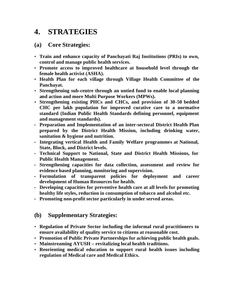### **4. STRATEGIES**

#### **(a) Core Strategies:**

- **Train and enhance capacity of Panchayati Raj Institutions (PRIs) to own, control and manage public health services.**
- **Promote access to improved healthcare at household level through the female health activist (ASHA).**
- **Health Plan for each village through Village Health Committee of the Panchayat.**
- **Strengthening sub-centre through an untied fund to enable local planning and action and more Multi Purpose Workers (MPWs).**
- **Strengthening existing PHCs and CHCs, and provision of 30-50 bedded CHC per lakh population for improved curative care to a normative standard (Indian Public Health Standards defining personnel, equipment and management standards).**
- **Preparation and Implementation of an inter-sectoral District Health Plan prepared by the District Health Mission, including drinking water, sanitation & hygiene and nutrition.**
- **Integrating vertical Health and Family Welfare programmes at National, State, Block, and District levels.**
- **Technical Support to National, State and District Health Missions, for Public Health Management.**
- **Strengthening capacities for data collection, assessment and review for evidence based planning, monitoring and supervision.**
- **Formulation of transparent policies for deployment and career development of Human Resources for health.**
- **Developing capacities for preventive health care at all levels for promoting healthy life styles, reduction in consumption of tobacco and alcohol etc.**
- **Promoting non-profit sector particularly in under served areas.**

#### **(b) Supplementary Strategies:**

- **Regulation of Private Sector including the informal rural practitioners to ensure availability of quality service to citizens at reasonable cost.**
- **Promotion of Public Private Partnerships for achieving public health goals.**
- **Mainstreaming AYUSH revitalizing local health traditions.**
- **Reorienting medical education to support rural health issues including regulation of Medical care and Medical Ethics.**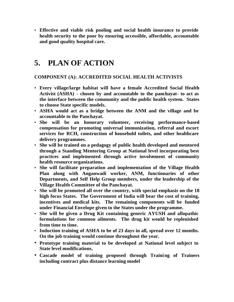• **Effective and viable risk pooling and social health insurance to provide health security to the poor by ensuring accessible, affordable, accountable and good quality hospital care.**

# **5. PLAN OF ACTION**

#### **COMPONENT (A): ACCREDITED SOCIAL HEALTH ACTIVISTS**

- **Every village/large habitat will have a female Accredited Social Health Activist (ASHA) - chosen by and accountable to the panchayat- to act as the interface between the community and the public health system. States to choose State specific models.**
- **ASHA would act as a bridge between the ANM and the village and be accountable to the Panchayat.**
- **She will be an honorary volunteer, receiving performance-based compensation for promoting universal immunization, referral and escort services for RCH, construction of household toilets, and other healthcare delivery programmes.**
- **She will be trained on a pedagogy of public health developed and mentored through a Standing Mentoring Group at National level incorporating best practices and implemented through active involvement of community health resource organizations.**
- **She will facilitate preparation and implementation of the Village Health Plan along with Anganwadi worker, ANM, functionaries of other Departments, and Self Help Group members, under the leadership of the Village Health Committee of the Panchayat.**
- **She will be promoted all over the country, with special emphasis on the 18 high focus States. The Government of India will bear the cost of training, incentives and medical kits. The remaining components will be funded under Financial Envelope given to the States under the programme.**
- **She will be given a Drug Kit containing generic AYUSH and allopathic formulations for common ailments. The drug kit would be replenished from time to time.**
- **Induction training of ASHA to be of 23 days in all, spread over 12 months. On the job training would continue throughout the year.**
- **Prototype training material to be developed at National level subject to State level modifications.**
- **Cascade model of training proposed through Training of Trainers including contract plus distance learning model**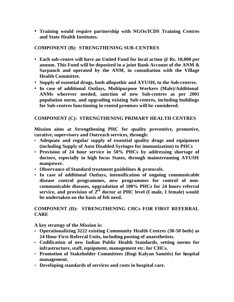• **Training would require partnership with NGOs/ICDS Training Centres and State Health Institutes.**

#### **COMPONENT (B): STRENGTHENING SUB-CENTRES**

- **Each sub-centre will have an Untied Fund for local action @ Rs. 10,000 per annum. This Fund will be deposited in a joint Bank Account of the ANM & Sarpanch and operated by the ANM, in consultation with the Village Health Committee.**
- **Supply of essential drugs, both allopathic and AYUSH, to the Sub-centres.**
- **In case of additional Outlays, Multipurpose Workers (Male)/Additional ANMs wherever needed, sanction of new Sub-centres as per 2001 population norm, and upgrading existing Sub-centres, including buildings for Sub-centres functioning in rented premises will be considered.**

#### **COMPONENT (C): STRENGTHENING PRIMARY HEALTH CENTRES**

**Mission aims at Strengthening PHC for quality preventive, promotive, curative, supervisory and Outreach services, through:**

- **Adequate and regular supply of essential quality drugs and equipment (including Supply of Auto Disabled Syringes for immunization) to PHCs**
- **Provision of 24 hour service in 50% PHCs by addressing shortage of doctors, especially in high focus States, through mainstreaming AYUSH manpower.**
- **Observance of Standard treatment guidelines & protocols.**
- **In case of additional Outlays, intensification of ongoing communicable disease control programmes, new programmes for control of noncommunicable diseases, upgradation of 100% PHCs for 24 hours referral service, and provision of 2nd doctor at PHC level (I male, 1 female) would be undertaken on the basis of felt need.**

#### **COMPONENT (D): STRENGTHENING CHCs FOR FIRST REFERRAL CARE**

**A key strategy of the Mission is:**

- **Operationalizing 3222 existing Community Health Centres (30-50 beds) as 24 Hour First Referral Units, including posting of anaesthetists.**
- **Codification of new Indian Public Health Standards, setting norms for infrastructure, staff, equipment, management etc. for CHCs.**
- **Promotion of Stakeholder Committees (Rogi Kalyan Samitis) for hospital management.**
- **Developing standards of services and costs in hospital care.**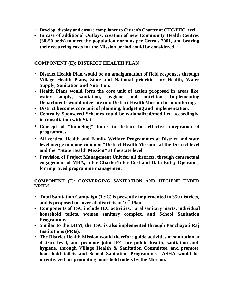- **Develop, display and ensure compliance to Citizen's Charter at CHC/PHC level.**
- **In case of additional Outlays, creation of new Community Health Centres (30-50 beds) to meet the population norm as per Census 2001, and bearing their recurring costs for the Mission period could be considered.**

#### **COMPONENT (E): DISTRICT HEALTH PLAN**

- **District Health Plan would be an amalgamation of field responses through Village Health Plans, State and National priorities for Health, Water Supply, Sanitation and Nutrition.**
- **Health Plans would form the core unit of action proposed in areas like water supply, sanitation, hygiene and nutrition. Implementing Departments would integrate into District Health Mission for monitoring.**
- **District becomes core unit of planning, budgeting and implementation.**
- **Centrally Sponsored Schemes could be rationalized/modified accordingly in consultation with States.**
- **Concept of "funneling" funds to district for effective integration of programmes**
- **All vertical Health and Family Welfare Programmes at District and state level merge into one common "District Health Mission" at the District level and the "State Health Mission" at the state level**
- **Provision of Project Management Unit for all districts, through contractual engagement of MBA, Inter Charter/Inter Cost and Data Entry Operator, for improved programme management**

#### **COMPONENT (F): CONVERGING SANITATION AND HYGIENE UNDER NRHM**

- **Total Sanitation Campaign (TSC) is presently implemented in 350 districts, and is proposed to cover all districts in 10th Plan.**
- **Components of TSC include IEC activities, rural sanitary marts, individual household toilets, women sanitary complex, and School Sanitation Programme.**
- **Similar to the DHM, the TSC is also implemented through Panchayati Raj Institutions (PRIs).**
- **The District Health Mission would therefore guide activities of sanitation at district level, and promote joint IEC for public health, sanitation and hygiene, through Village Health & Sanitation Committee, and promote household toilets and School Sanitation Programme. ASHA would be incentivized for promoting household toilets by the Mission.**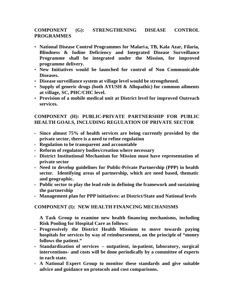#### **COMPONENT (G): STRENGTHENING DISEASE CONTROL PROGRAMMES**

- **National Disease Control Programmes for Malaria, TB, Kala Azar, Filaria, Blindness & Iodine Deficiency and Integrated Disease Surveillance Programme shall be integrated under the Mission, for improved programme delivery.**
- **New Initiatives would be launched for control of Non Communicable Diseases.**
- **Disease surveillance system at village level would be strengthened.**
- **Supply of generic drugs (both AYUSH & Allopathic) for common ailments at village, SC, PHC/CHC level.**
- **Provision of a mobile medical unit at District level for improved Outreach services.**

#### **COMPONENT (H): PUBLIC-PRIVATE PARTNERSHIP FOR PUBLIC HEALTH GOALS, INCLUDING REGULATION OF PRIVATE SECTOR**

- **Since almost 75% of health services are being currently provided by the private sector, there is a need to refine regulation**
- **Regulation to be transparent and accountable**
- **Reform of regulatory bodies/creation where necessary**
- **District Institutional Mechanism for Mission must have representation of private sector**
- **Need to develop guidelines for Public-Private Partnership (PPP) in health sector. Identifying areas of partnership, which are need based, thematic and geographic.**
- **Public sector to play the lead role in defining the framework and sustaining the partnership**
- **Management plan for PPP initiatives: at District/State and National levels**

#### **COMPONENT (I): NEW HEALTH FINANCING MECHANISMS**

**A Task Group to examine new health financing mechanisms, including Risk Pooling for Hospital Care as follows:**

- **Progressively the District Health Missions to move towards paying hospitals for services by way of reimbursement, on the principle of "money follows the patient."**
- **Standardization of services outpatient, in-patient, laboratory, surgical interventions- and costs will be done periodically by a committee of experts in each state.**
- **A National Expert Group to monitor these standards and give suitable advice and guidance on protocols and cost comparisons.**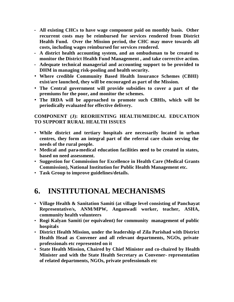- **All existing CHCs to have wage component paid on monthly basis. Other recurrent costs may be reimbursed for services rendered from District Health Fund. Over the Mission period, the CHC may move towards all costs, including wages reimbursed for services rendered.**
- **A district health accounting system, and an ombudsman to be created to monitor the District Health Fund Management , and take corrective action.**
- **Adequate technical managerial and accounting support to be provided to DHM in managing risk-pooling and health security.**
- **Where credible Community Based Health Insurance Schemes (CBHI) exist/are launched, they will be encouraged as part of the Mission.**
- **The Central government will provide subsidies to cover a part of the premiums for the poor, and monitor the schemes.**
- **The IRDA will be approached to promote such CBHIs, which will be periodically evaluated for effective delivery.**

#### **COMPONENT (J): REORIENTING HEALTH/MEDICAL EDUCATION TO SUPPORT RURAL HEALTH ISSUES**

- **While district and tertiary hospitals are necessarily located in urban centres, they form an integral part of the referral care chain serving the needs of the rural people.**
- **Medical and para-medical education facilities need to be created in states, based on need assessment.**
- **Suggestion for Commission for Excellence in Health Care (Medical Grants Commission), National Institution for Public Health Management etc.**
- **Task Group to improve guidelines/details.**

### **6. INSTITUTIONAL MECHANISMS**

- **Village Health & Sanitation Samiti (at village level consisting of Panchayat Representative/s, ANM/MPW, Anganwadi worker, teacher, ASHA, community health volunteers**
- **Rogi Kalyan Samiti (or equivalent) for community management of public hospitals**
- **District Health Mission, under the leadership of Zila Parishad with District Health Head as Convener and all relevant departments, NGOs, private professionals etc represented on it**
- **State Health Mission, Chaired by Chief Minister and co-chaired by Health Minister and with the State Health Secretary as Convener- representation of related departments, NGOs, private professionals etc**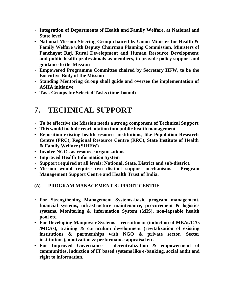- **Integration of Departments of Health and Family Welfare, at National and State level**
- **National Mission Steering Group chaired by Union Minister for Health & Family Welfare with Deputy Chairman Planning Commission, Ministers of Panchayat Raj, Rural Development and Human Resource Development and public health professionals as members, to provide policy support and guidance to the Mission**
- **Empowered Programme Committee chaired by Secretary HFW, to be the Executive Body of the Mission**
- **Standing Mentoring Group shall guide and oversee the implementation of ASHA initiative**
- **Task Groups for Selected Tasks (time-bound)**

# **7. TECHNICAL SUPPORT**

- **To be effective the Mission needs a strong component of Technical Support**
- **This would include reorientation into public health management**
- **Reposition existing health resource institutions, like Population Research Centre (PRC), Regional Resource Centre (RRC), State Institute of Health & Family Welfare (SIHFW)**
- **Involve NGOs as resource organisations**
- **Improved Health Information System**
- **Support required at all levels: National, State, District and sub-district.**
- **Mission would require two distinct support mechanisms Program Management Support Centre and Health Trust of India.**

#### **(A) PROGRAM MANAGEMENT SUPPORT CENTRE**

- **For Strengthening Management Systems-basic program management, financial systems, infrastructure maintenance, procurement & logistics systems, Monitoring & Information System (MIS), non-lapsable health pool etc.**
- **For Developing Manpower Systems recruitment (induction of MBAs/CAs /MCAs), training & curriculum development (revitalization of existing institutions & partnerships with NGO & private sector. Sector institutions), motivation & performance appraisal etc.**
- **For Improved Governance decentralization & empowerment of communities, induction of IT based systems like e-banking, social audit and right to information.**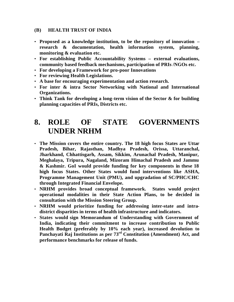#### **(B) HEALTH TRUST OF INDIA**

- **Proposed as a knowledge institution, to be the repository of innovation – research & documentation, health information system, planning, monitoring & evaluation etc.**
- **For establishing Public Accountability Systems external evaluations, community based feedback mechanisms, participation of PRIs /NGOs etc.**
- **For developing a Framework for pro-poor Innovations**
- **For reviewing Health Legislations.**
- **A base for encouraging experimentation and action research.**
- **For inter & intra Sector Networking with National and International Organizations.**
- **Think Tank for developing a long-term vision of the Sector & for building planning capacities of PRIs, Districts etc.**

### **8. ROLE OF STATE GOVERNMENTS UNDER NRHM**

- **The Mission covers the entire country. The 18 high focus States are Uttar Pradesh, Bihar, Rajasthan, Madhya Pradesh, Orissa, Uttaranchal, Jharkhand, Chhattisgarh, Assam, Sikkim, Arunachal Pradesh, Manipur, Meghalaya, Tripura, Nagaland, Mizoram Himachal Pradesh and Jammu & Kashmir. GoI would provide funding for key components in these 18 high focus States. Other States would fund interventions like ASHA, Programme Management Unit (PMU), and upgradation of SC/PHC/CHC through Integrated Financial Envelope.**
- **NRHM provides broad conceptual framework. States would project operational modalities in their State Action Plans, to be decided in consultation with the Mission Steering Group.**
- **NRHM would prioritize funding for addressing inter-state and intradistrict disparities in terms of health infrastructure and indicators.**
- **States would sign Memorandum of Understanding with Government of India, indicating their commitment to increase contribution to Public Health Budget (preferably by 10% each year), increased devolution to Panchayati Raj Institutions as per 73rd Constitution (Amendment) Act, and performance benchmarks for release of funds.**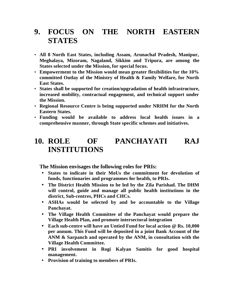### **9. FOCUS ON THE NORTH EASTERN STATES**

- **All 8 North East States, including Assam, Arunachal Pradesh, Manipur, Meghalaya, Mizoram, Nagaland, Sikkim and Tripura, are among the States selected under the Mission, for special focus.**
- **Empowerment to the Mission would mean greater flexibilities for the 10% committed Outlay of the Ministry of Health & Family Welfare, for North East States.**
- **States shall be supported for creation/upgradation of health infrastructure, increased mobility, contractual engagement, and technical support under the Mission.**
- **Regional Resource Centre is being supported under NRHM for the North Eastern States.**
- **Funding would be available to address local health issues in a comprehensive manner, through State specific schemes and initiatives.**

### **10. ROLE OF PANCHAYATI RAJ INSTITUTIONS**

**The Mission envisages the following roles for PRIs:**

- **States to indicate in their MoUs the commitment for devolution of funds, functionaries and programmes for health, to PRIs.**
- **The District Health Mission to be led by the Zila Parishad. The DHM will control, guide and manage all public health institutions in the district, Sub-centres, PHCs and CHCs.**
- **ASHAs would be selected by and be accountable to the Village Panchayat.**
- **The Village Health Committee of the Panchayat would prepare the Village Health Plan, and promote intersectoral integration**
- **Each sub-centre will have an Untied Fund for local action @ Rs. 10,000 per annum. This Fund will be deposited in a joint Bank Account of the ANM & Sarpanch and operated by the ANM, in consultation with the Village Health Committee.**
- **PRI involvement in Rogi Kalyan Samitis for good hospital management.**
- **Provision of training to members of PRIs.**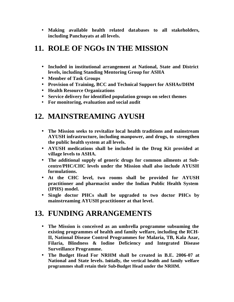• **Making available health related databases to all stakeholders, including Panchayats at all levels.**

# **11. ROLE OF NGOs IN THE MISSION**

- **Included in institutional arrangement at National, State and District levels, including Standing Mentoring Group for ASHA**
- **Member of Task Groups**
- **Provision of Training, BCC and Technical Support for ASHAs/DHM**
- **Health Resource Organizations**
- **Service delivery for identified population groups on select themes**
- **For monitoring, evaluation and social audit**

# **12. MAINSTREAMING AYUSH**

- **The Mission seeks to revitalize local health traditions and mainstream AYUSH infrastructure, including manpower, and drugs, to strengthen the public health system at all levels.**
- **AYUSH medications shall be included in the Drug Kit provided at village levels to ASHA.**
- **The additional supply of generic drugs for common ailments at Subcentre/PHC/CHC levels under the Mission shall also include AYUSH formulations.**
- **At the CHC level, two rooms shall be provided for AYUSH practitioner and pharmacist under the Indian Public Health System (IPHS) model.**
- **Single doctor PHCs shall be upgraded to two doctor PHCs by mainstreaming AYUSH practitioner at that level.**

# **13. FUNDING ARRANGEMENTS**

- **The Mission is conceived as an umbrella programme subsuming the existing programmes of health and family welfare, including the RCH-II, National Disease Control Programmes for Malaria, TB, Kala Azar, Filaria, Blindness & Iodine Deficiency and Integrated Disease Surveillance Programme.**
- **The Budget Head For NRHM shall be created in B.E. 2006-07 at National and State levels. Initially, the vertical health and family welfare programmes shall retain their Sub-Budget Head under the NRHM.**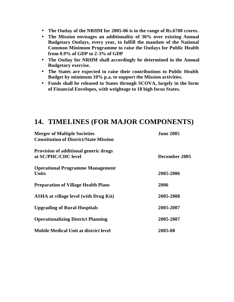- **The Outlay of the NRHM for 2005-06 is in the range of Rs.6700 crores.**
- **The Mission envisages an additionality of 30% over existing Annual Budgetary Outlays, every year, to fulfill the mandate of the National Common Minimum Programme to raise the Outlays for Public Health from 0.9% of GDP to 2-3% of GDP**
- **The Outlay for NRHM shall accordingly be determined in the Annual Budgetary exercise.**
- **The States are expected to raise their contributions to Public Health Budget by minimum 10% p.a. to support the Mission activities.**
- **Funds shall be released to States through SCOVA, largely in the form of Financial Envelopes, with weightage to 18 high focus States.**

### **14. TIMELINES (FOR MAJOR COMPONENTS)**

| <b>Merger of Multiple Societies</b><br><b>Constitution of District/State Mission</b> | <b>June 2005</b> |
|--------------------------------------------------------------------------------------|------------------|
|                                                                                      |                  |
|                                                                                      |                  |
| <b>Operational Programme Management</b><br><b>Units</b>                              | 2005-2006        |
| <b>Preparation of Village Health Plans</b>                                           | 2006             |
| <b>ASHA at village level (with Drug Kit)</b>                                         | 2005-2008        |
| <b>Upgrading of Rural Hospitals</b>                                                  | 2005-2007        |
| <b>Operationalizing District Planning</b>                                            | 2005-2007        |
| <b>Mobile Medical Unit at district level</b>                                         | 2005-08          |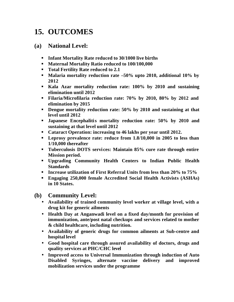## **15. OUTCOMES**

#### **(a) National Level:**

- **III Infant Mortality Rate reduced to 30/1000 live births**
- **KRIGHTER 100 M** Mortality Ratio reduced to 100/100,000
- **Total Fertility Rate reduced to 2.1**
- ß **Malaria mortality reduction rate –50% upto 2010, additional 10% by 2012**
- ß **Kala Azar mortality reduction rate: 100% by 2010 and sustaining elimination until 2012**
- ß **Filaria/Microfilaria reduction rate: 70% by 2010, 80% by 2012 and elimination by 2015**
- **Dengue mortality reduction rate: 50% by 2010 and sustaining at that level until 2012**
- ß **Japanese Encephalitis mortality reduction rate: 50% by 2010 and sustaining at that level until 2012**
- ß **Cataract Operation: increasing to 46 lakhs per year until 2012.**
- ß **Leprosy prevalence rate: reduce from 1.8/10,000 in 2005 to less than 1/10,000 thereafter**
- **Tuberculosis DOTS services: Maintain 85% cure rate through entire Mission period.**
- ß **Upgrading Community Health Centers to Indian Public Health Standards**
- **Increase utilization of First Referral Units from less than 20% to 75%**
- ß **Engaging 250,000 female Accredited Social Health Activists (ASHAs) in 10 States.**
- **(b) Community Level:**
	- **Availability of trained community level worker at village level, with a drug kit for generic ailments**
	- **Health Day at Anganwadi level on a fixed day/month for provision of immunization, ante/post natal checkups and services related to mother & child healthcare, including nutrition.**
	- **Availability of generic drugs for common ailments at Sub-centre and hospital level**
	- **Good hospital care through assured availability of doctors, drugs and quality services at PHC/CHC level**
	- **Improved access to Universal Immunization through induction of Auto Disabled Syringes, alternate vaccine delivery and improved mobilization services under the programme**